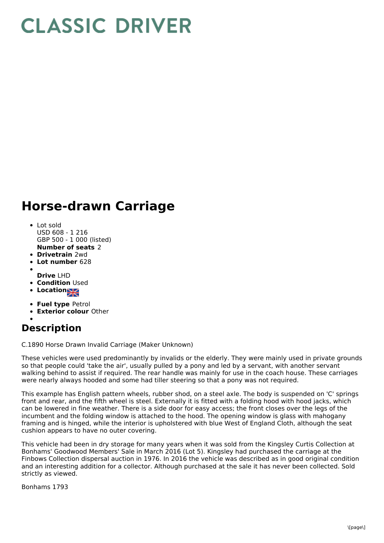## **CLASSIC DRIVER**

## **Horse-drawn Carriage**

- **Number of seats** 2 Lot sold USD 608 - 1 216 GBP 500 - 1 000 (listed)
- **Drivetrain** 2wd
- **Lot number** 628
- **Drive** LHD
- **Condition Used**
- **Location**
- 
- **Fuel type** Petrol
- **Exterior colour** Other

## **Description**

C.1890 Horse Drawn Invalid Carriage (Maker Unknown)

These vehicles were used predominantly by invalids or the elderly. They were mainly used in private grounds so that people could 'take the air', usually pulled by a pony and led by a servant, with another servant walking behind to assist if required. The rear handle was mainly for use in the coach house. These carriages were nearly always hooded and some had tiller steering so that a pony was not required.

This example has English pattern wheels, rubber shod, on a steel axle. The body is suspended on 'C' springs front and rear, and the fifth wheel is steel. Externally it is fitted with a folding hood with hood jacks, which can be lowered in fine weather. There is a side door for easy access; the front closes over the legs of the incumbent and the folding window is attached to the hood. The opening window is glass with mahogany framing and is hinged, while the interior is upholstered with blue West of England Cloth, although the seat cushion appears to have no outer covering.

This vehicle had been in dry storage for many years when it was sold from the Kingsley Curtis Collection at Bonhams' Goodwood Members' Sale in March 2016 (Lot 5). Kingsley had purchased the carriage at the Finbows Collection dispersal auction in 1976. In 2016 the vehicle was described as in good original condition and an interesting addition for a collector. Although purchased at the sale it has never been collected. Sold strictly as viewed.

Bonhams 1793